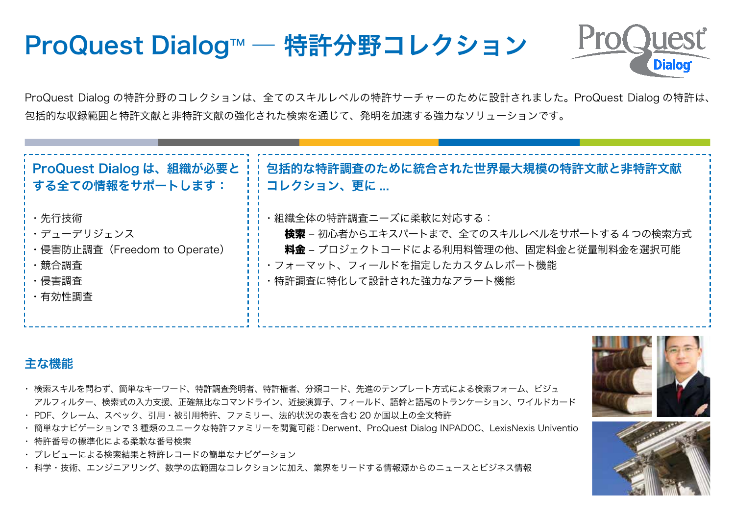# **ProQuest Dialog™ — Patents ProQuest Dialog™ — Patents** ProQuest Dialog™ ― 特許分野コレクション



ProQuest Dialog の特許分野のコレクションは、全てのスキルレベルの特許サーチャーのために設計されました。ProQuest Dialog の特許は、 包括的な収録範囲と特許文献と非特許文献の強化された検索を通じて、発明を加速する強力なソリューションです。 包括的な収録範囲と特許文献と非特許文献の強化された検索を通じて、発明を加速する強力なソリューションです。

| ¦ ProQuest Dialog は、組織が必要と                                                               | 包括的な特許調査のために統合された世界最大規模の特許文献と非特許文献                                                                                                                                                    |
|------------------------------------------------------------------------------------------|---------------------------------------------------------------------------------------------------------------------------------------------------------------------------------------|
| : する全ての情報をサポートします:                                                                       | コレクション、更に                                                                                                                                                                             |
| ・先行技術<br><b>i・</b> デューデリジェンス<br>・侵害防止調査 (Freedom to Operate)<br>・競合調査<br>・侵害調査<br>・有効性調査 | ・組織全体の特許調査ニーズに柔軟に対応する:<br><b>検索</b> – 初心者からエキスパートまで、全てのスキルレベルをサポートする 4 つの検索方式<br>料金 - プロジェクトコードによる利用料管理の他、固定料金と従量制料金を選択可能<br>・フォーマット、フィールドを指定したカスタムレポート機能<br>・特許調査に特化して設計された強力なアラート機能 |

#### $\epsilon$ な機能 across the organization with searching for all skill levels, including for all skill levels, including for 主な機能

- basic keyword; quick finds for citations, look ups for inventor, assignee, and class codes; :スキルを問わす、間里なキーリード、特計調食発明者、特計権者、分類コード、先進のテンプレート万式による検索<br>-アルフィルター、検索式の入力支援、正確無比なコマンドライン、近接演算子、フィールド、語幹と語尾のトランケーション、ワイルドカード<br>-・ 検索スキルを問わず、簡単なキーワード、特許調査発明者、特許権者、分類コード、先進のテンプレート方式による検索フォーム、ビジュ
- アルファイルの Cookes の Rockwards Engines service ファミリー、 Alakoon 3 、ファー・アル、 品質を語って<br>・ PDF、クレーム、スペック、引用・被引用特許、ファミリー、法的状況の表を含む 20 か国以上の全文特許
- ・簡単なナビゲーションで 3 種類のユニークな特許ファミリーを閲覧可能:Derwent、ProQuest Dialog INPADOC、LexisNexis Univentio Derwent, ProQuest Dialog INPADOC, and LexisNexis Univentio
- ・ 特許番号の標準化による柔軟な番号検索
- ・ プレビューによる検索結果と特許レコードの簡単なナビゲーション  $\mathbf{P}$
- · 科学・技術、エンジニアリング、数学の広範囲なコレクションに加え、業界をリードする情報源からのニュースとビジネス情報<br>-